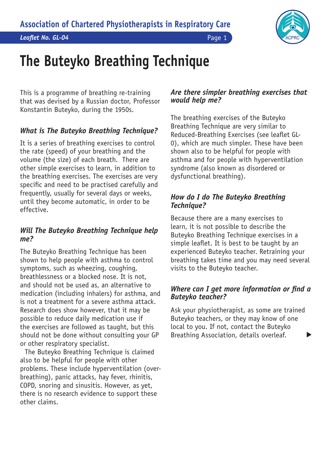

# **The Buteyko Breathing Technique**

This is a programme of breathing re-training that was devised by a Russian doctor, Professor Konstantin Buteyko, during the 1950s.

# *What is The Buteyko Breathing Technique?*

It is a series of breathing exercises to control the rate (speed) of your breathing and the volume (the size) of each breath. There are other simple exercises to learn, in addition to the breathing exercises. The exercises are very specific and need to be practised carefully and frequently, usually for several days or weeks, until they become automatic, in order to be effective.

# *Will The Buteyko Breathing Technique help me?*

The Buteyko Breathing Technique has been shown to help people with asthma to control symptoms, such as wheezing, coughing, breathlessness or a blocked nose. It is not, and should not be used as, an alternative to medication (including inhalers) for asthma, and is not a treatment for a severe asthma attack. Research does show however, that it may be possible to reduce daily medication use if the exercises are followed as taught, but this should not be done without consulting your GP or other respiratory specialist.

The Buteyko Breathing Technique is claimed also to be helpful for people with other problems. These include hyperventilation (overbreathing), panic attacks, hay fever, rhinitis, COPD, snoring and sinusitis. However, as yet, there is no research evidence to support these other claims.

#### *Are there simpler breathing exercises that would help me?*

The breathing exercises of the Buteyko Breathing Technique are very similar to Reduced-Breathing Exercises (see leaflet GL-0), which are much simpler. These have been shown also to be helpful for people with asthma and for people with hyperventilation syndrome (also known as disordered or dysfunctional breathing).

## *How do I do The Buteyko Breathing Technique?*

Because there are a many exercises to learn, it is not possible to describe the Buteyko Breathing Technique exercises in a simple leaflet. It is best to be taught by an experienced Buteyko teacher. Retraining your breathing takes time and you may need several visits to the Buteyko teacher.

## *Where can I get more information or find a Buteyko teacher?*

Ask your physiotherapist, as some are trained Buteyko teachers, or they may know of one local to you. If not, contact the Buteyko Breathing Association, details overleaf.  $\blacktriangleright$